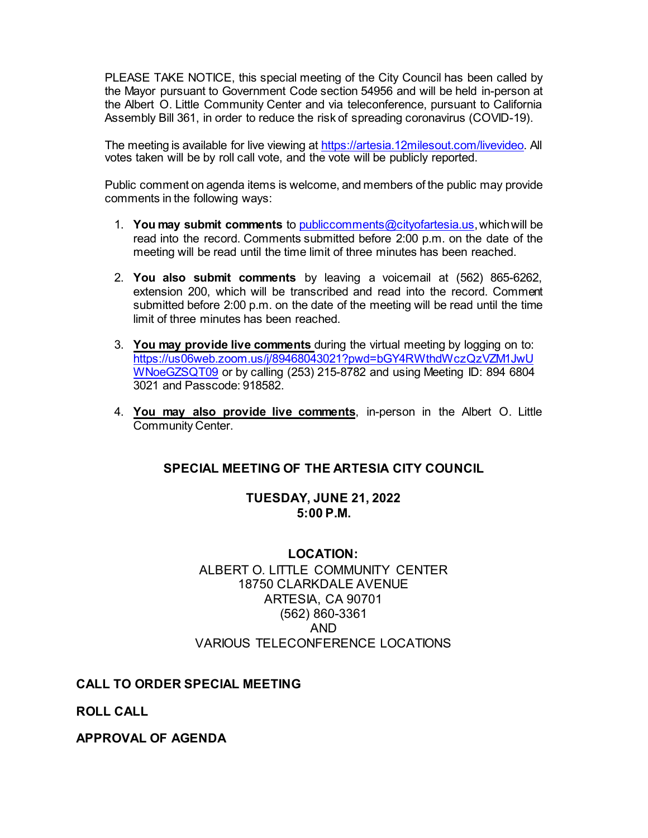PLEASE TAKE NOTICE, this special meeting of the City Council has been called by the Mayor pursuant to Government Code section 54956 and will be held in-person at the Albert O. Little Community Center and via teleconference, pursuant to California Assembly Bill 361, in order to reduce the risk of spreading coronavirus (COVID-19).

The meeting is available for live viewing at [https://artesia.12milesout.com/livevideo.](https://artesia.12milesout.com/livevideo) All votes taken will be by roll call vote, and the vote will be publicly reported.

Public comment on agenda items is welcome, and members of the public may provide comments in the following ways:

- 1. **You may submit comments** t[o publiccomments@cityofartesia.us,](mailto:publiccomments@cityofartesia.us) which will be read into the record. Comments submitted before 2:00 p.m. on the date of the meeting will be read until the time limit of three minutes has been reached.
- 2. **You also submit comments** by leaving a voicemail at (562) 865-6262, extension 200, which will be transcribed and read into the record. Comment submitted before 2:00 p.m. on the date of the meeting will be read until the time limit of three minutes has been reached.
- 3. **You may provide live comments** during the virtual meeting by logging on to: [https://us06web.zoom.us/j/89468043021?pwd=bGY4RWthdWczQzVZM1JwU](https://us06web.zoom.us/j/89468043021?pwd=bGY4RWthdWczQzVZM1JwUWNoeGZSQT09) [WNoeGZSQT09](https://us06web.zoom.us/j/89468043021?pwd=bGY4RWthdWczQzVZM1JwUWNoeGZSQT09) or by calling (253) 215-8782 and using Meeting ID: 894 6804 3021 and Passcode: 918582.
- 4. **You may also provide live comments**, in-person in the Albert O. Little Community Center.

### **SPECIAL MEETING OF THE ARTESIA CITY COUNCIL**

#### **TUESDAY, JUNE 21, 2022 5:00 P.M.**

### **LOCATION:** ALBERT O. LITTLE COMMUNITY CENTER 18750 CLARKDALE AVENUE ARTESIA, CA 90701 (562) 860-3361 AND VARIOUS TELECONFERENCE LOCATIONS

### **CALL TO ORDER SPECIAL MEETING**

**ROLL CALL** 

**APPROVAL OF AGENDA**